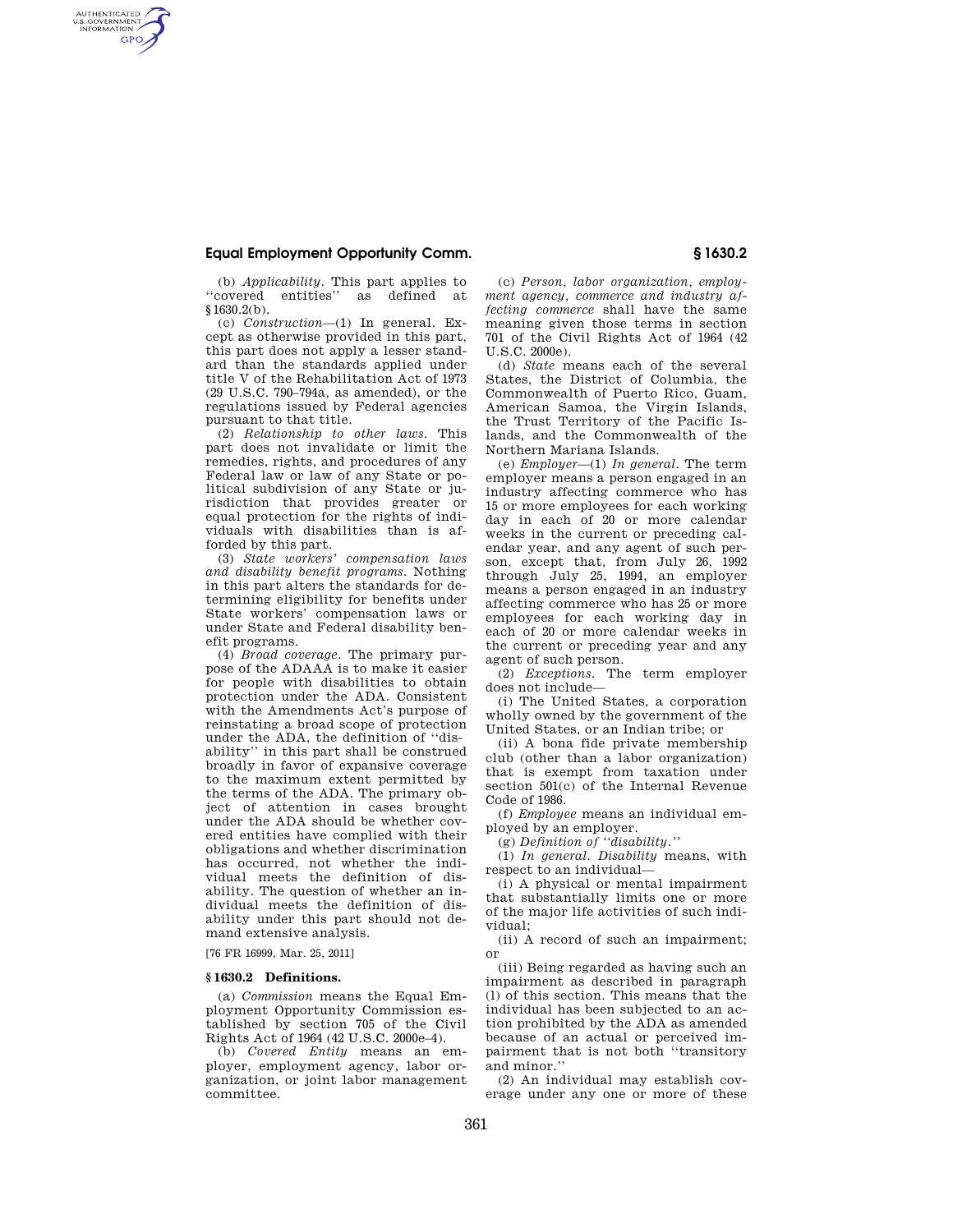AUTHENTICATED<br>U.S. GOVERNMENT<br>INFORMATION **GPO** 

> (b) *Applicability.* This part applies to ''covered entities'' as defined at §1630.2(b).

> (c) *Construction*—(1) In general. Except as otherwise provided in this part, this part does not apply a lesser standard than the standards applied under title V of the Rehabilitation Act of 1973 (29 U.S.C. 790–794a, as amended), or the regulations issued by Federal agencies pursuant to that title.

> (2) *Relationship to other laws.* This part does not invalidate or limit the remedies, rights, and procedures of any Federal law or law of any State or political subdivision of any State or jurisdiction that provides greater or equal protection for the rights of individuals with disabilities than is afforded by this part.

> (3) *State workers' compensation laws and disability benefit programs.* Nothing in this part alters the standards for determining eligibility for benefits under State workers' compensation laws or under State and Federal disability benefit programs.

> (4) *Broad coverage.* The primary purpose of the ADAAA is to make it easier for people with disabilities to obtain protection under the ADA. Consistent with the Amendments Act's purpose of reinstating a broad scope of protection under the ADA, the definition of ''disability'' in this part shall be construed broadly in favor of expansive coverage to the maximum extent permitted by the terms of the ADA. The primary object of attention in cases brought under the ADA should be whether covered entities have complied with their obligations and whether discrimination has occurred, not whether the individual meets the definition of disability. The question of whether an individual meets the definition of disability under this part should not demand extensive analysis.

[76 FR 16999, Mar. 25, 2011]

#### **§ 1630.2 Definitions.**

(a) *Commission* means the Equal Employment Opportunity Commission established by section 705 of the Civil Rights Act of 1964 (42 U.S.C. 2000e–4).

(b) *Covered Entity* means an employer, employment agency, labor organization, or joint labor management committee.

(c) *Person, labor organization, employment agency, commerce and industry affecting commerce* shall have the same meaning given those terms in section 701 of the Civil Rights Act of 1964 (42  $U.S.C. 2000e$ 

(d) *State* means each of the several States, the District of Columbia, the Commonwealth of Puerto Rico, Guam, American Samoa, the Virgin Islands, the Trust Territory of the Pacific Islands, and the Commonwealth of the Northern Mariana Islands.

(e) *Employer*—(1) *In general.* The term employer means a person engaged in an industry affecting commerce who has 15 or more employees for each working day in each of 20 or more calendar weeks in the current or preceding calendar year, and any agent of such person, except that, from July 26, 1992 through July 25, 1994, an employer means a person engaged in an industry affecting commerce who has 25 or more employees for each working day in each of 20 or more calendar weeks in the current or preceding year and any agent of such person.

(2) *Exceptions.* The term employer does not include—

(i) The United States, a corporation wholly owned by the government of the United States, or an Indian tribe; or

(ii) A bona fide private membership club (other than a labor organization) that is exempt from taxation under section 501(c) of the Internal Revenue Code of 1986.

(f) *Employee* means an individual employed by an employer.

(g) *Definition of ''disability.''* 

(1) *In general. Disability* means, with respect to an individual—

(i) A physical or mental impairment that substantially limits one or more of the major life activities of such individual;

(ii) A record of such an impairment; or

(iii) Being regarded as having such an impairment as described in paragraph (l) of this section. This means that the individual has been subjected to an action prohibited by the ADA as amended because of an actual or perceived impairment that is not both ''transitory and minor.''

(2) An individual may establish coverage under any one or more of these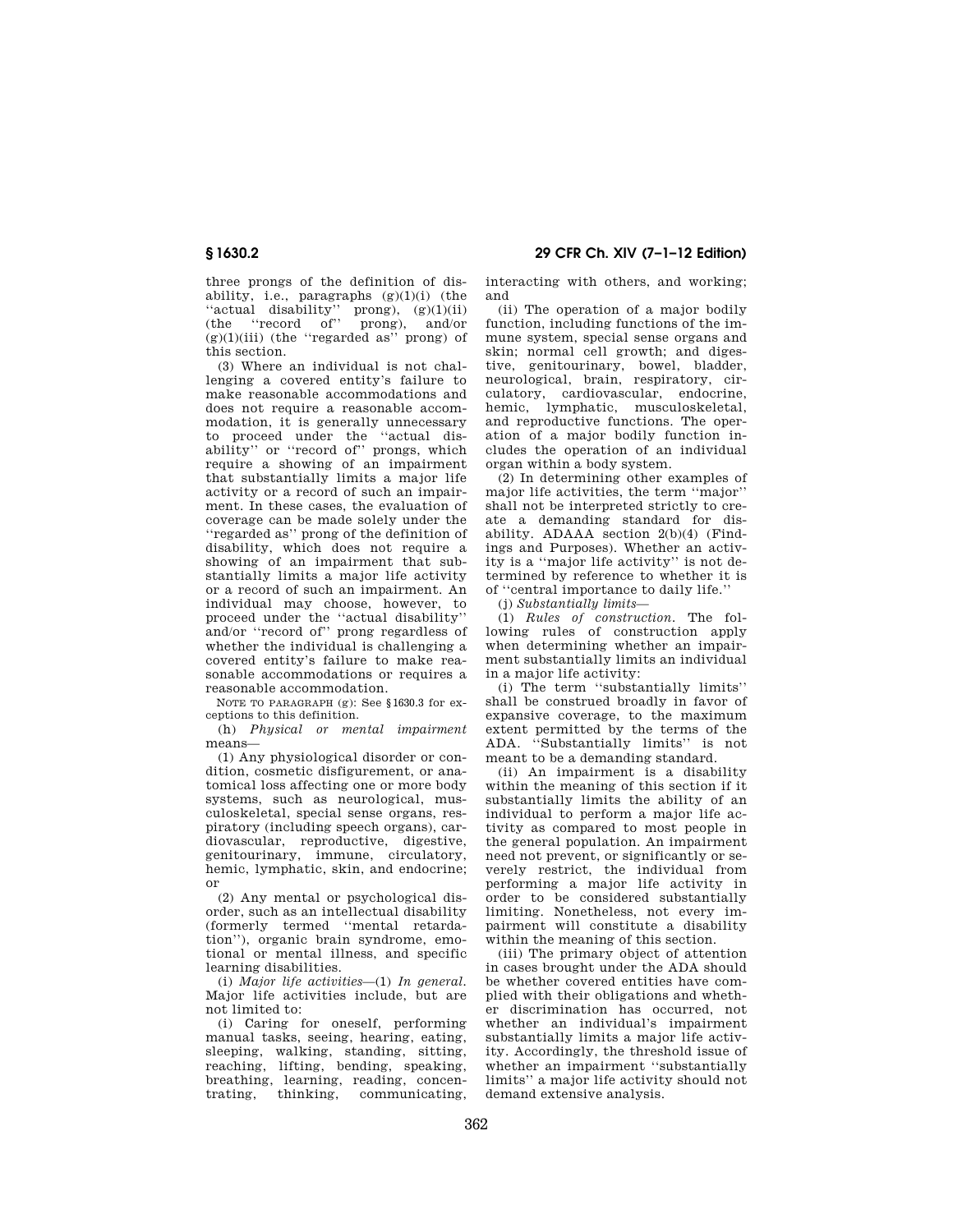three prongs of the definition of disability, i.e., paragraphs  $(g)(1)(i)$  (the ''actual disability'' prong), (g)(1)(ii) (the ''record of'' prong), and/or  $(g)(1)(iii)$  (the "regarded as" prong) of this section.

(3) Where an individual is not challenging a covered entity's failure to make reasonable accommodations and does not require a reasonable accommodation, it is generally unnecessary to proceed under the ''actual disability'' or ''record of'' prongs, which require a showing of an impairment that substantially limits a major life activity or a record of such an impairment. In these cases, the evaluation of coverage can be made solely under the ''regarded as'' prong of the definition of disability, which does not require a showing of an impairment that substantially limits a major life activity or a record of such an impairment. An individual may choose, however, to proceed under the ''actual disability'' and/or ''record of'' prong regardless of whether the individual is challenging a covered entity's failure to make reasonable accommodations or requires a reasonable accommodation.

NOTE TO PARAGRAPH (g): See §1630.3 for exceptions to this definition.

(h) *Physical or mental impairment*  means—

(1) Any physiological disorder or condition, cosmetic disfigurement, or anatomical loss affecting one or more body systems, such as neurological, musculoskeletal, special sense organs, respiratory (including speech organs), cardiovascular, reproductive, digestive, genitourinary, immune, circulatory, hemic, lymphatic, skin, and endocrine; or

(2) Any mental or psychological disorder, such as an intellectual disability (formerly termed ''mental retardation''), organic brain syndrome, emotional or mental illness, and specific learning disabilities.

(i) *Major life activities*—(1) *In general.*  Major life activities include, but are not limited to:

(i) Caring for oneself, performing manual tasks, seeing, hearing, eating, sleeping, walking, standing, sitting, reaching, lifting, bending, speaking, breathing, learning, reading, concen-<br>trating thinking communicating thinking, communicating,

**§ 1630.2 29 CFR Ch. XIV (7–1–12 Edition)** 

interacting with others, and working; and

(ii) The operation of a major bodily function, including functions of the immune system, special sense organs and skin; normal cell growth; and digestive, genitourinary, bowel, bladder, neurological, brain, respiratory, circulatory, cardiovascular, endocrine, hemic, lymphatic, musculoskeletal, and reproductive functions. The operation of a major bodily function includes the operation of an individual organ within a body system.

(2) In determining other examples of major life activities, the term ''major'' shall not be interpreted strictly to create a demanding standard for disability. ADAAA section 2(b)(4) (Findings and Purposes). Whether an activity is a ''major life activity'' is not determined by reference to whether it is of ''central importance to daily life.''

(j) *Substantially limits*—

(1) *Rules of construction.* The following rules of construction apply when determining whether an impairment substantially limits an individual in a major life activity:

(i) The term ''substantially limits'' shall be construed broadly in favor of expansive coverage, to the maximum extent permitted by the terms of the ADA. ''Substantially limits'' is not meant to be a demanding standard.

(ii) An impairment is a disability within the meaning of this section if it substantially limits the ability of an individual to perform a major life activity as compared to most people in the general population. An impairment need not prevent, or significantly or severely restrict, the individual from performing a major life activity in order to be considered substantially limiting. Nonetheless, not every impairment will constitute a disability within the meaning of this section.

(iii) The primary object of attention in cases brought under the ADA should be whether covered entities have complied with their obligations and whether discrimination has occurred, not whether an individual's impairment substantially limits a major life activity. Accordingly, the threshold issue of whether an impairment ''substantially limits'' a major life activity should not demand extensive analysis.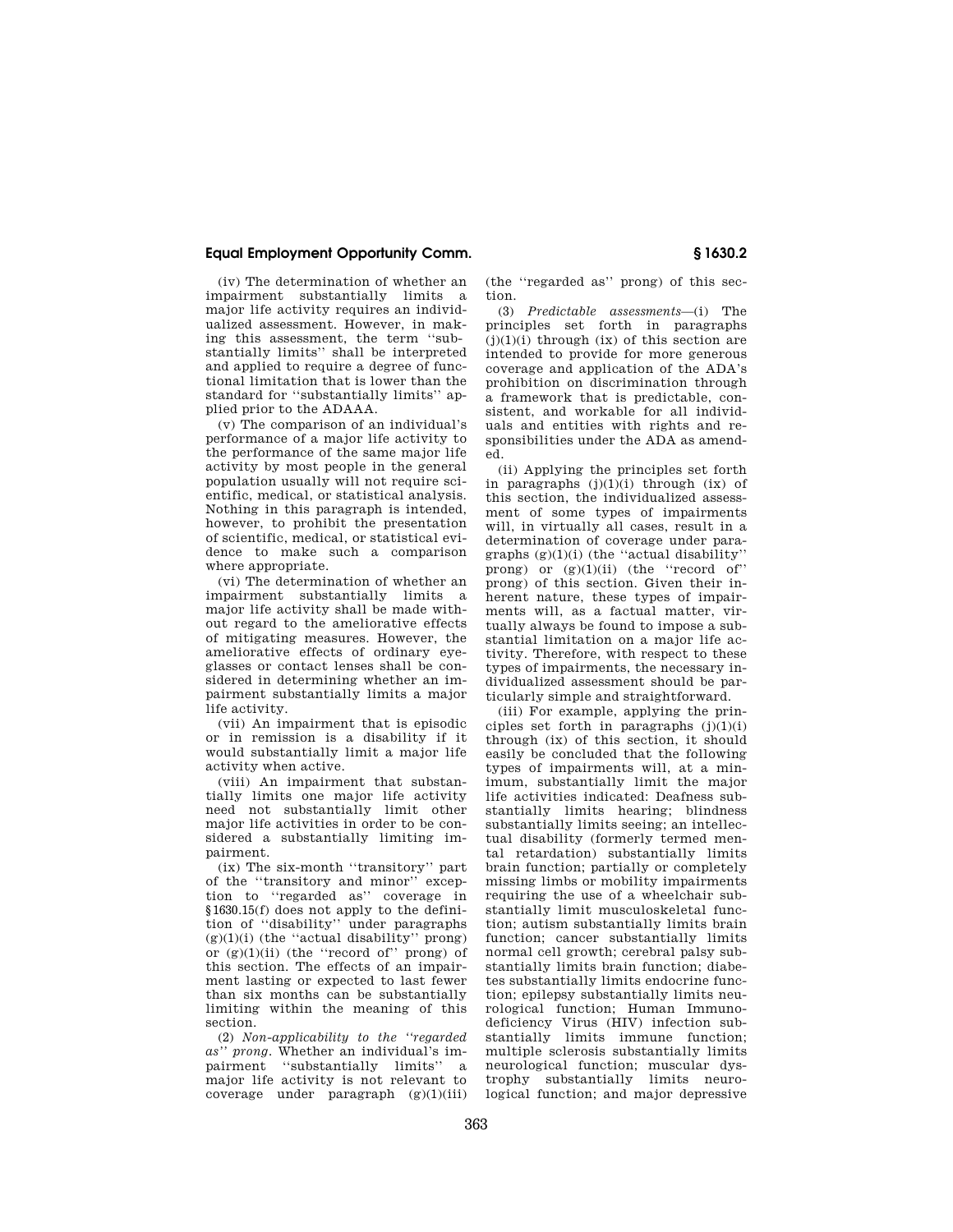(iv) The determination of whether an impairment substantially limits a major life activity requires an individualized assessment. However, in making this assessment, the term ''substantially limits'' shall be interpreted and applied to require a degree of functional limitation that is lower than the standard for ''substantially limits'' applied prior to the ADAAA.

(v) The comparison of an individual's performance of a major life activity to the performance of the same major life activity by most people in the general population usually will not require scientific, medical, or statistical analysis. Nothing in this paragraph is intended, however, to prohibit the presentation of scientific, medical, or statistical evidence to make such a comparison where appropriate.

(vi) The determination of whether an impairment substantially limits a major life activity shall be made without regard to the ameliorative effects of mitigating measures. However, the ameliorative effects of ordinary eyeglasses or contact lenses shall be considered in determining whether an impairment substantially limits a major life activity.

(vii) An impairment that is episodic or in remission is a disability if it would substantially limit a major life activity when active.

(viii) An impairment that substantially limits one major life activity need not substantially limit other major life activities in order to be considered a substantially limiting impairment.

(ix) The six-month ''transitory'' part of the ''transitory and minor'' exception to ''regarded as'' coverage in §1630.15(f) does not apply to the definition of ''disability'' under paragraphs  $(g)(1)(i)$  (the "actual disability" prong) or  $(g)(1)(ii)$  (the "record of" prong) of this section. The effects of an impairment lasting or expected to last fewer than six months can be substantially limiting within the meaning of this section.

(2) *Non-applicability to the ''regarded as'' prong.* Whether an individual's impairment ''substantially limits'' a major life activity is not relevant to coverage under paragraph (g)(1)(iii) (the ''regarded as'' prong) of this section.

(3) *Predictable assessments*—(i) The principles set forth in paragraphs  $(j)(1)(i)$  through  $(ix)$  of this section are intended to provide for more generous coverage and application of the ADA's prohibition on discrimination through a framework that is predictable, consistent, and workable for all individuals and entities with rights and responsibilities under the ADA as amended.

(ii) Applying the principles set forth in paragraphs  $(j)(1)(i)$  through  $(ix)$  of this section, the individualized assessment of some types of impairments will, in virtually all cases, result in a determination of coverage under paragraphs  $(g)(1)(i)$  (the "actual disability" prong) or  $(g)(1)(ii)$  (the "record of" prong) of this section. Given their inherent nature, these types of impairments will, as a factual matter, virtually always be found to impose a substantial limitation on a major life activity. Therefore, with respect to these types of impairments, the necessary individualized assessment should be particularly simple and straightforward.

(iii) For example, applying the principles set forth in paragraphs  $(j)(1)(i)$ through (ix) of this section, it should easily be concluded that the following types of impairments will, at a minimum, substantially limit the major life activities indicated: Deafness substantially limits hearing; blindness substantially limits seeing; an intellectual disability (formerly termed mental retardation) substantially limits brain function; partially or completely missing limbs or mobility impairments requiring the use of a wheelchair substantially limit musculoskeletal function; autism substantially limits brain function; cancer substantially limits normal cell growth; cerebral palsy substantially limits brain function; diabetes substantially limits endocrine function; epilepsy substantially limits neurological function; Human Immunodeficiency Virus (HIV) infection substantially limits immune function; multiple sclerosis substantially limits neurological function; muscular dystrophy substantially limits neurological function; and major depressive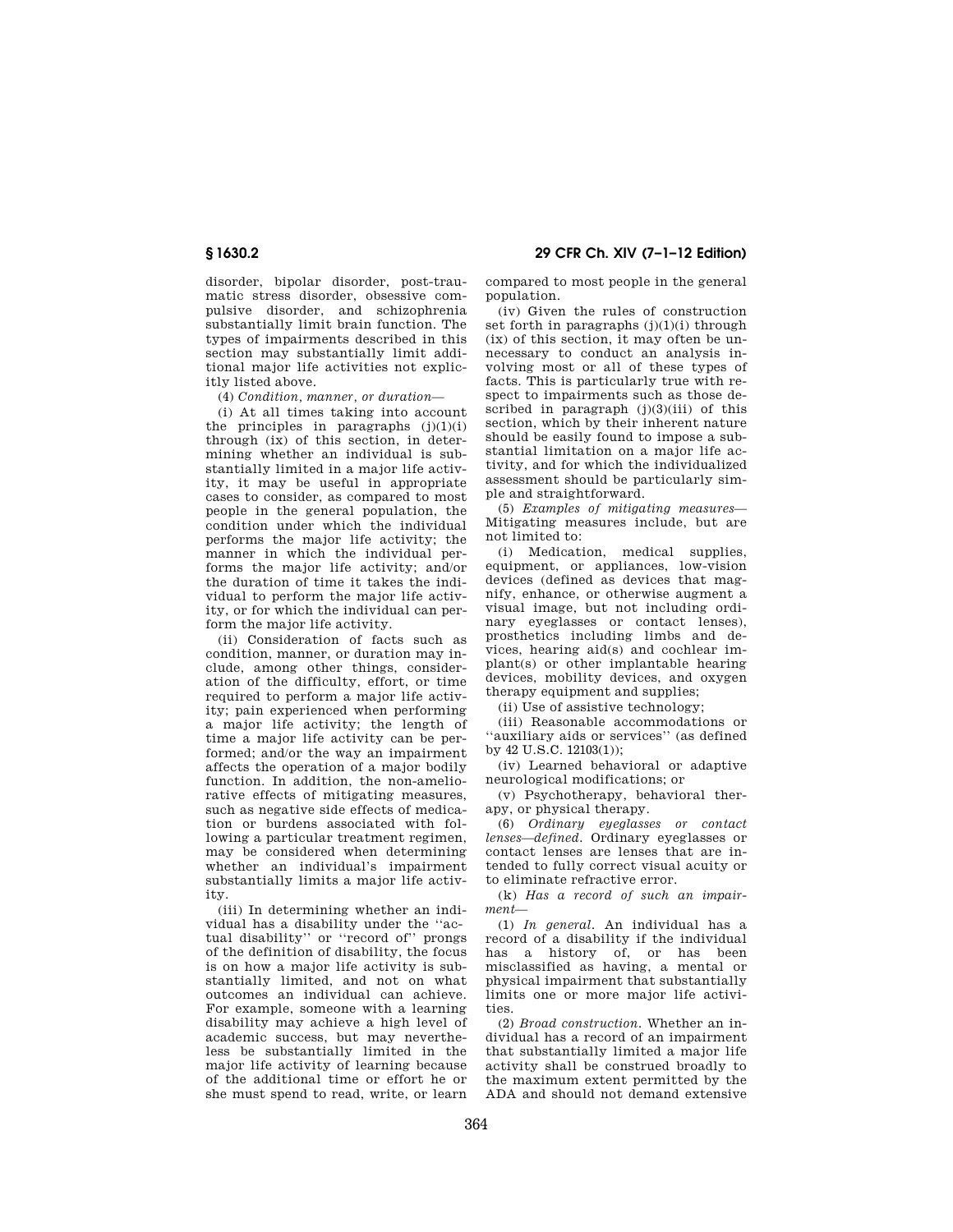disorder, bipolar disorder, post-traumatic stress disorder, obsessive compulsive disorder, and schizophrenia substantially limit brain function. The types of impairments described in this section may substantially limit additional major life activities not explicitly listed above.

(4) *Condition, manner, or duration*—

(i) At all times taking into account the principles in paragraphs  $(j)(1)(i)$ through (ix) of this section, in determining whether an individual is substantially limited in a major life activity, it may be useful in appropriate cases to consider, as compared to most people in the general population, the condition under which the individual performs the major life activity; the manner in which the individual performs the major life activity; and/or the duration of time it takes the individual to perform the major life activity, or for which the individual can perform the major life activity.

(ii) Consideration of facts such as condition, manner, or duration may include, among other things, consideration of the difficulty, effort, or time required to perform a major life activity; pain experienced when performing a major life activity; the length of time a major life activity can be performed; and/or the way an impairment affects the operation of a major bodily function. In addition, the non-ameliorative effects of mitigating measures, such as negative side effects of medication or burdens associated with following a particular treatment regimen, may be considered when determining whether an individual's impairment substantially limits a major life activity.

(iii) In determining whether an individual has a disability under the ''actual disability'' or ''record of'' prongs of the definition of disability, the focus is on how a major life activity is substantially limited, and not on what outcomes an individual can achieve. For example, someone with a learning disability may achieve a high level of academic success, but may nevertheless be substantially limited in the major life activity of learning because of the additional time or effort he or she must spend to read, write, or learn

**§ 1630.2 29 CFR Ch. XIV (7–1–12 Edition)** 

compared to most people in the general population.

(iv) Given the rules of construction set forth in paragraphs  $(j)(1)(i)$  through (ix) of this section, it may often be unnecessary to conduct an analysis involving most or all of these types of facts. This is particularly true with respect to impairments such as those described in paragraph  $(j)(3)(iii)$  of this section, which by their inherent nature should be easily found to impose a substantial limitation on a major life activity, and for which the individualized assessment should be particularly simple and straightforward.

(5) *Examples of mitigating measures*— Mitigating measures include, but are not limited to:

(i) Medication, medical supplies, equipment, or appliances, low-vision devices (defined as devices that magnify, enhance, or otherwise augment a visual image, but not including ordinary eyeglasses or contact lenses), prosthetics including limbs and devices, hearing aid(s) and cochlear implant(s) or other implantable hearing devices, mobility devices, and oxygen therapy equipment and supplies;

(ii) Use of assistive technology;

(iii) Reasonable accommodations or ''auxiliary aids or services'' (as defined by 42 U.S.C. 12103(1));

(iv) Learned behavioral or adaptive neurological modifications; or

(v) Psychotherapy, behavioral therapy, or physical therapy.

(6) *Ordinary eyeglasses or contact lenses*—*defined.* Ordinary eyeglasses or contact lenses are lenses that are intended to fully correct visual acuity or to eliminate refractive error.

(k) *Has a record of such an impairment*—

(1) *In general.* An individual has a record of a disability if the individual has a history of, or has been misclassified as having, a mental or physical impairment that substantially limits one or more major life activities.

(2) *Broad construction.* Whether an individual has a record of an impairment that substantially limited a major life activity shall be construed broadly to the maximum extent permitted by the ADA and should not demand extensive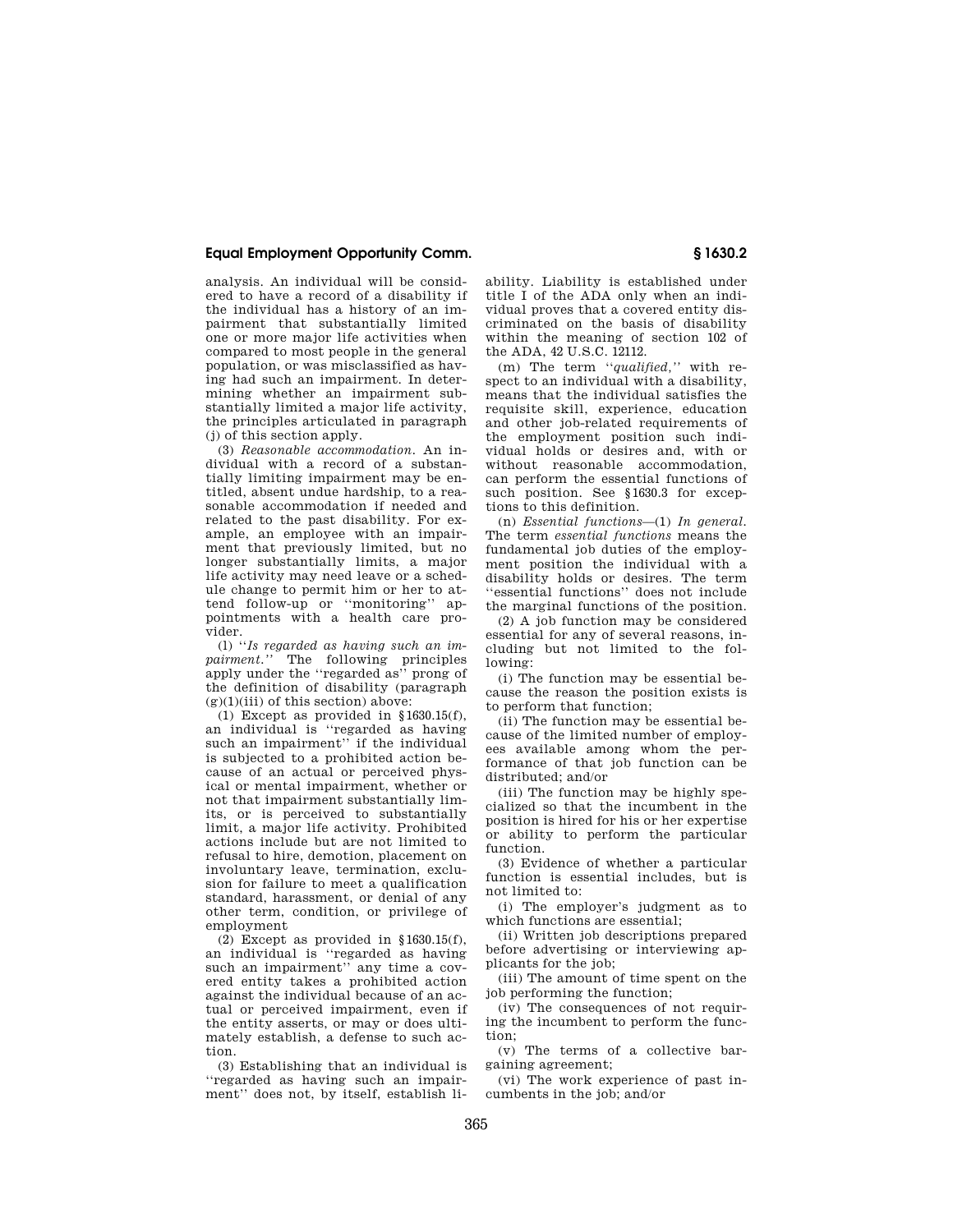analysis. An individual will be considered to have a record of a disability if the individual has a history of an impairment that substantially limited one or more major life activities when compared to most people in the general population, or was misclassified as having had such an impairment. In determining whether an impairment substantially limited a major life activity, the principles articulated in paragraph (j) of this section apply.

(3) *Reasonable accommodation.* An individual with a record of a substantially limiting impairment may be entitled, absent undue hardship, to a reasonable accommodation if needed and related to the past disability. For example, an employee with an impairment that previously limited, but no longer substantially limits, a major life activity may need leave or a schedule change to permit him or her to attend follow-up or ''monitoring'' appointments with a health care provider.

(l) ''*Is regarded as having such an impairment.''* The following principles apply under the ''regarded as'' prong of the definition of disability (paragraph  $(g)(1)(iii)$  of this section) above:

(1) Except as provided in §1630.15(f), an individual is ''regarded as having such an impairment" if the individual is subjected to a prohibited action because of an actual or perceived physical or mental impairment, whether or not that impairment substantially limits, or is perceived to substantially limit, a major life activity. Prohibited actions include but are not limited to refusal to hire, demotion, placement on involuntary leave, termination, exclusion for failure to meet a qualification standard, harassment, or denial of any other term, condition, or privilege of employment

(2) Except as provided in  $§1630.15(f)$ , an individual is ''regarded as having such an impairment" any time a covered entity takes a prohibited action against the individual because of an actual or perceived impairment, even if the entity asserts, or may or does ultimately establish, a defense to such action.

(3) Establishing that an individual is ''regarded as having such an impairment'' does not, by itself, establish liability. Liability is established under title I of the ADA only when an individual proves that a covered entity discriminated on the basis of disability within the meaning of section 102 of the ADA, 42 U.S.C. 12112.

(m) The term ''*qualified,''* with respect to an individual with a disability, means that the individual satisfies the requisite skill, experience, education and other job-related requirements of the employment position such individual holds or desires and, with or without reasonable accommodation, can perform the essential functions of such position. See §1630.3 for exceptions to this definition.

(n) *Essential functions*—(1) *In general.*  The term *essential functions* means the fundamental job duties of the employment position the individual with a disability holds or desires. The term ''essential functions'' does not include the marginal functions of the position.

(2) A job function may be considered essential for any of several reasons, including but not limited to the following:

(i) The function may be essential because the reason the position exists is to perform that function;

(ii) The function may be essential because of the limited number of employees available among whom the performance of that job function can be distributed; and/or

(iii) The function may be highly specialized so that the incumbent in the position is hired for his or her expertise or ability to perform the particular function.

(3) Evidence of whether a particular function is essential includes, but is not limited to:

(i) The employer's judgment as to which functions are essential;

(ii) Written job descriptions prepared before advertising or interviewing applicants for the job;

(iii) The amount of time spent on the job performing the function;

(iv) The consequences of not requiring the incumbent to perform the function;

(v) The terms of a collective bargaining agreement;

(vi) The work experience of past incumbents in the job; and/or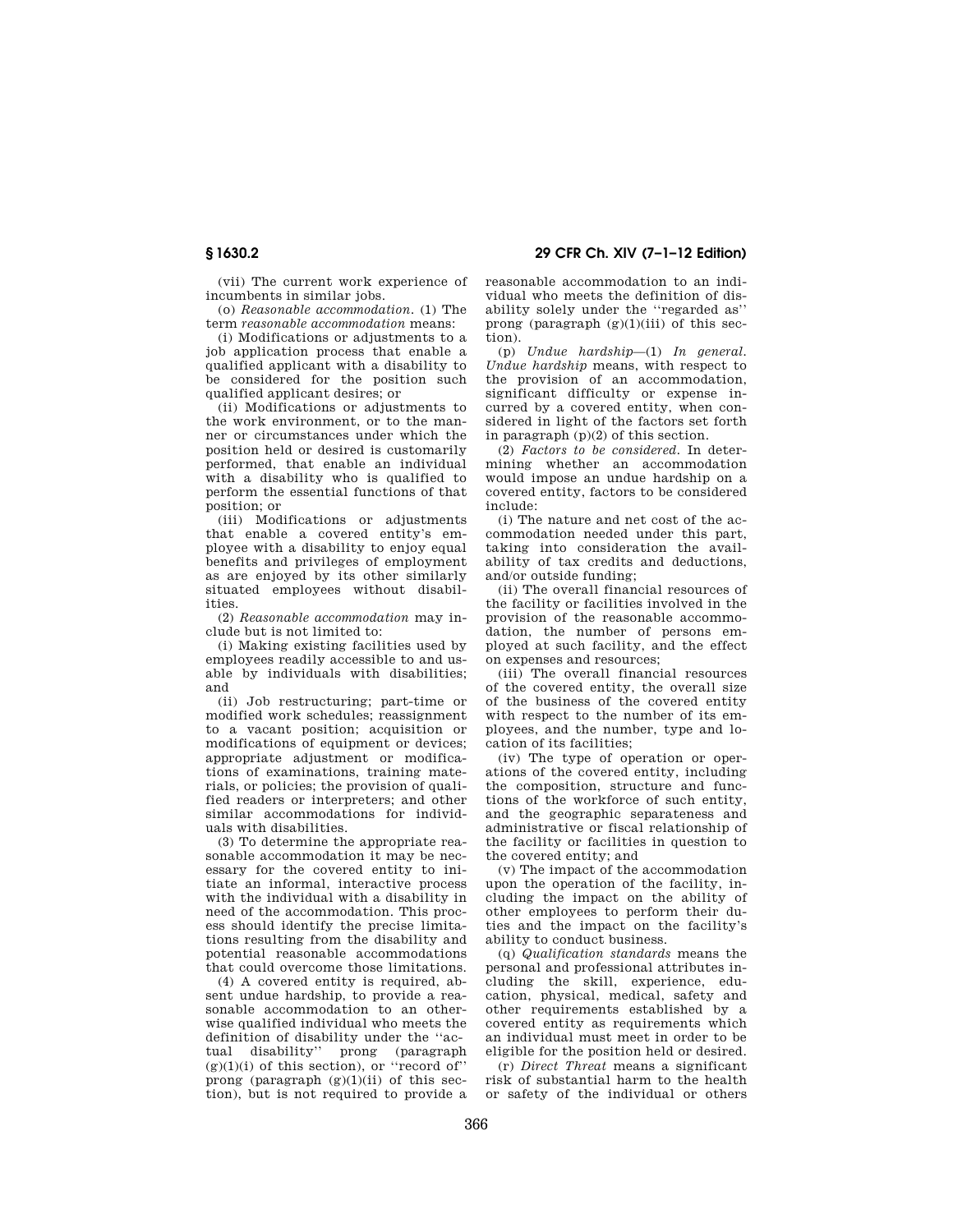(vii) The current work experience of incumbents in similar jobs.

(o) *Reasonable accommodation.* (1) The term *reasonable accommodation* means:

(i) Modifications or adjustments to a job application process that enable a qualified applicant with a disability to be considered for the position such qualified applicant desires; or

(ii) Modifications or adjustments to the work environment, or to the manner or circumstances under which the position held or desired is customarily performed, that enable an individual .<br>with a disability who is qualified to perform the essential functions of that position; or

(iii) Modifications or adjustments that enable a covered entity's employee with a disability to enjoy equal benefits and privileges of employment as are enjoyed by its other similarly situated employees without disabilities.

(2) *Reasonable accommodation* may include but is not limited to:

(i) Making existing facilities used by employees readily accessible to and usable by individuals with disabilities; and

(ii) Job restructuring; part-time or modified work schedules; reassignment to a vacant position; acquisition or modifications of equipment or devices; appropriate adjustment or modifications of examinations, training materials, or policies; the provision of qualified readers or interpreters; and other similar accommodations for individuals with disabilities.

(3) To determine the appropriate reasonable accommodation it may be necessary for the covered entity to initiate an informal, interactive process with the individual with a disability in need of the accommodation. This process should identify the precise limitations resulting from the disability and potential reasonable accommodations that could overcome those limitations.

(4) A covered entity is required, absent undue hardship, to provide a reasonable accommodation to an otherwise qualified individual who meets the definition of disability under the ''actual disability'' prong (paragraph  $(g)(1)(i)$  of this section), or "record of" prong (paragraph  $(g)(1)(ii)$  of this section), but is not required to provide a reasonable accommodation to an individual who meets the definition of disability solely under the ''regarded as'' prong (paragraph  $(g)(1)(iii)$  of this section).

(p) *Undue hardship*—(1) *In general. Undue hardship* means, with respect to the provision of an accommodation, significant difficulty or expense incurred by a covered entity, when considered in light of the factors set forth in paragraph (p)(2) of this section.

(2) *Factors to be considered.* In determining whether an accommodation would impose an undue hardship on a covered entity, factors to be considered include:

(i) The nature and net cost of the accommodation needed under this part, taking into consideration the availability of tax credits and deductions, and/or outside funding;

(ii) The overall financial resources of the facility or facilities involved in the provision of the reasonable accommodation, the number of persons employed at such facility, and the effect on expenses and resources;

(iii) The overall financial resources of the covered entity, the overall size of the business of the covered entity with respect to the number of its employees, and the number, type and location of its facilities;

(iv) The type of operation or operations of the covered entity, including the composition, structure and functions of the workforce of such entity, and the geographic separateness and administrative or fiscal relationship of the facility or facilities in question to the covered entity; and

(v) The impact of the accommodation upon the operation of the facility, including the impact on the ability of other employees to perform their duties and the impact on the facility's ability to conduct business.

(q) *Qualification standards* means the personal and professional attributes including the skill, experience, education, physical, medical, safety and other requirements established by a covered entity as requirements which an individual must meet in order to be eligible for the position held or desired.

(r) *Direct Threat* means a significant risk of substantial harm to the health or safety of the individual or others